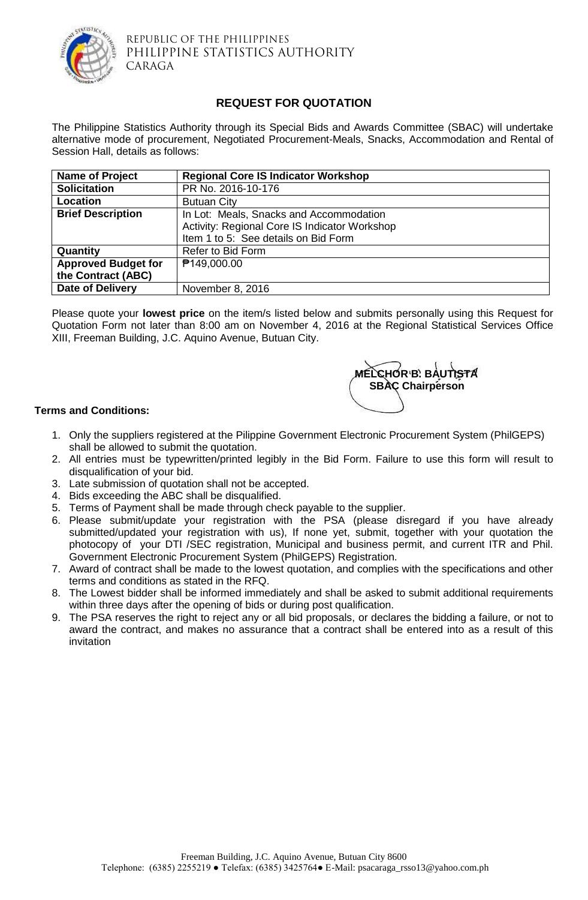

REPUBLIC OF THE PHILIPPINES PHILIPPINE STATISTICS AUTHORITY CARAGA

## **REQUEST FOR QUOTATION**

The Philippine Statistics Authority through its Special Bids and Awards Committee (SBAC) will undertake alternative mode of procurement, Negotiated Procurement-Meals, Snacks, Accommodation and Rental of Session Hall, details as follows:

| <b>Name of Project</b>     | <b>Regional Core IS Indicator Workshop</b>    |  |  |  |  |
|----------------------------|-----------------------------------------------|--|--|--|--|
| <b>Solicitation</b>        | PR No. 2016-10-176                            |  |  |  |  |
| Location                   | <b>Butuan City</b>                            |  |  |  |  |
| <b>Brief Description</b>   | In Lot: Meals, Snacks and Accommodation       |  |  |  |  |
|                            | Activity: Regional Core IS Indicator Workshop |  |  |  |  |
|                            | Item 1 to 5: See details on Bid Form          |  |  |  |  |
| Quantity                   | <b>Refer to Bid Form</b>                      |  |  |  |  |
| <b>Approved Budget for</b> | <b>₱149,000.00</b>                            |  |  |  |  |
| the Contract (ABC)         |                                               |  |  |  |  |
| <b>Date of Delivery</b>    | November 8, 2016                              |  |  |  |  |

Please quote your **lowest price** on the item/s listed below and submits personally using this Request for Quotation Form not later than 8:00 am on November 4, 2016 at the Regional Statistical Services Office XIII, Freeman Building, J.C. Aquino Avenue, Butuan City.



## **Terms and Conditions:**

- 1. Only the suppliers registered at the Pilippine Government Electronic Procurement System (PhilGEPS) shall be allowed to submit the quotation.
- 2. All entries must be typewritten/printed legibly in the Bid Form. Failure to use this form will result to disqualification of your bid.
- 3. Late submission of quotation shall not be accepted.
- 4. Bids exceeding the ABC shall be disqualified.
- 5. Terms of Payment shall be made through check payable to the supplier.
- 6. Please submit/update your registration with the PSA (please disregard if you have already submitted/updated your registration with us), If none yet, submit, together with your quotation the photocopy of your DTI /SEC registration, Municipal and business permit, and current ITR and Phil. Government Electronic Procurement System (PhilGEPS) Registration.
- 7. Award of contract shall be made to the lowest quotation, and complies with the specifications and other terms and conditions as stated in the RFQ.
- 8. The Lowest bidder shall be informed immediately and shall be asked to submit additional requirements within three days after the opening of bids or during post qualification.
- 9. The PSA reserves the right to reject any or all bid proposals, or declares the bidding a failure, or not to award the contract, and makes no assurance that a contract shall be entered into as a result of this invitation